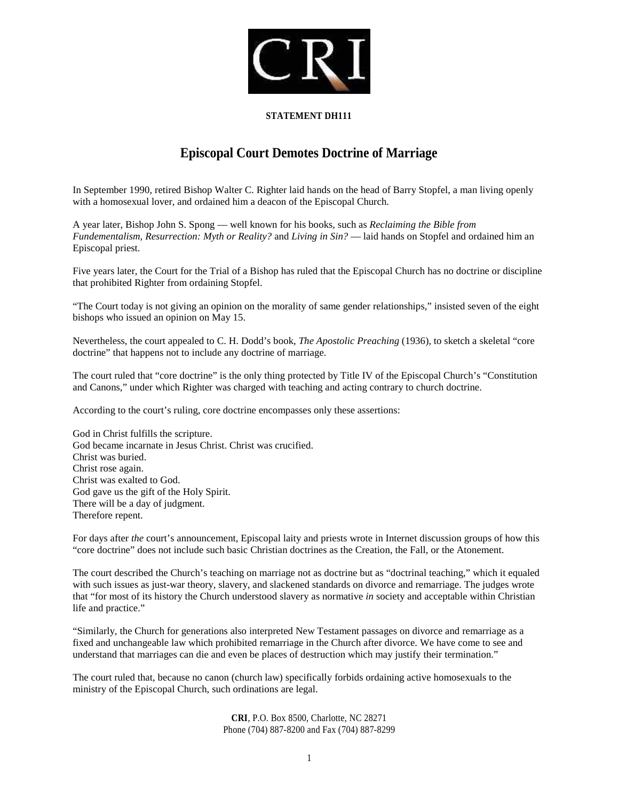

## **STATEMENT DH111**

## **Episcopal Court Demotes Doctrine of Marriage**

In September 1990, retired Bishop Walter C. Righter laid hands on the head of Barry Stopfel, a man living openly with a homosexual lover, and ordained him a deacon of the Episcopal Church.

A year later, Bishop John S. Spong — well known for his books, such as *Reclaiming the Bible from Fundementalism, Resurrection: Myth or Reality?* and *Living in Sin?* — laid hands on Stopfel and ordained him an Episcopal priest.

Five years later, the Court for the Trial of a Bishop has ruled that the Episcopal Church has no doctrine or discipline that prohibited Righter from ordaining Stopfel.

"The Court today is not giving an opinion on the morality of same gender relationships," insisted seven of the eight bishops who issued an opinion on May 15.

Nevertheless, the court appealed to C. H. Dodd's book, *The Apostolic Preaching* (1936), to sketch a skeletal "core doctrine" that happens not to include any doctrine of marriage.

The court ruled that "core doctrine" is the only thing protected by Title IV of the Episcopal Church's "Constitution and Canons," under which Righter was charged with teaching and acting contrary to church doctrine.

According to the court's ruling, core doctrine encompasses only these assertions:

God in Christ fulfills the scripture. God became incarnate in Jesus Christ. Christ was crucified. Christ was buried. Christ rose again. Christ was exalted to God. God gave us the gift of the Holy Spirit. There will be a day of judgment. Therefore repent.

For days after *the* court's announcement, Episcopal laity and priests wrote in Internet discussion groups of how this "core doctrine" does not include such basic Christian doctrines as the Creation, the Fall, or the Atonement.

The court described the Church's teaching on marriage not as doctrine but as "doctrinal teaching," which it equaled with such issues as just-war theory, slavery, and slackened standards on divorce and remarriage. The judges wrote that "for most of its history the Church understood slavery as normative *in* society and acceptable within Christian life and practice."

"Similarly, the Church for generations also interpreted New Testament passages on divorce and remarriage as a fixed and unchangeable law which prohibited remarriage in the Church after divorce. We have come to see and understand that marriages can die and even be places of destruction which may justify their termination."

The court ruled that, because no canon (church law) specifically forbids ordaining active homosexuals to the ministry of the Episcopal Church, such ordinations are legal.

> **CRI**, P.O. Box 8500, Charlotte, NC 28271 Phone (704) 887-8200 and Fax (704) 887-8299